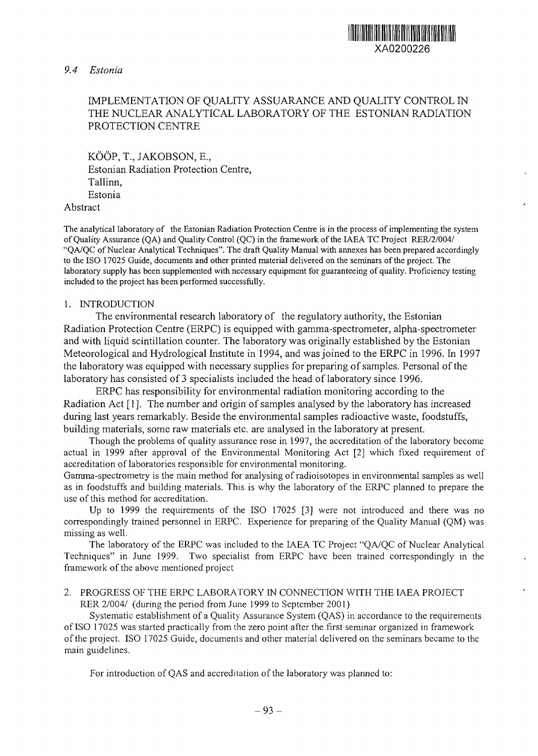# *9.4 Estonia*



XA0200226

III III III III III III III III

KÖÖP, T., JAKOBSON, E., Estonian Radiation Protection Centre, Tallinn, Estonia

## Abstract

The analytical laboratory of the Estonian Radiation Protection Centre is in the process of implementing the system of Quality Assurance (QA) and Quality Control (QC) in the framework of the IAEA TC Project RER/2/004/ "QA/QC of Nuclear Analytical Techniques". The draft Quality Manual with annexes has been prepared accordingly to the ISO 17025 Guide, documents and other printed material delivered on the seminars of the project. The laboratory supply has been supplemented with necessary equipment for guaranteeing of quality. Proficiency testing included to the project has been performed successfully.

## 1. INTRODUCTION

The environmental research laboratory of the regulatory authority, the Estonian Radiation Protection Centre (ERPC) is equipped with gamma-spectrometer, alpha-spectrometer and with liquid scintillation counter. The laboratory was originally established by the Estonian Meteorological and Hydrological Institute in 1994, and was joined to the ERPC in 1996. In 1997 the laboratory was equipped with necessary supplies for preparing of samples. Personal of the laboratory has consisted of 3 specialists included the head of laboratory since 1996.

ERPC has responsibility for environmental radiation monitoring according to the Radiation Act [1]. The number and origin of samples analysed by the laboratory has increased during last years remarkably. Beside the environmental samples radioactive waste, foodstuffs, building materials, some raw materials etc. are analysed in the laboratory at present.

Though the problems of quality assurance rose in 1997, the accreditation of the laboratory become actual in 1999 after approval of the Environmental Monitoring Act [2] which fixed requirement of accreditation of laboratories responsible for environmental monitoring.

Gamma-spectrometry is the main method for analysing of radioisotopes in environmental samples as well as in foodstuffs and building materials. This is why the laboratory of the ERPC planned to prepare the use of this method for accreditation.

Up to 1999 the requirements of the ISO 17025 [3] were not introduced and there was no correspondingly trained personnel in ERPC. Experience for preparing of the Quality Manual (QM) was missing as well.

The laboratory of the ERPC was included to the IAEA TC Project "QA/QC of Nuclear Analytical Techniques" in June 1999. Two specialist from ERPC have been trained correspondingly in the framework of the above mentioned project

# 2. PROGRESS OF THE ERPC LABORATORY IN CONNECTION WITH THE IAEA PROJECT RER 2/004/ (during the period from June 1999 to September 2001)

Systematic establishment of a Quality Assurance System (QAS) in accordance to the requirements of ISO 17025 was started practically from the zero point after the first seminar organized in framework of the project. ISO 17025 Guide, documents and other material delivered on the seminars became to the main guidelines.

For introduction of QAS and accreditation of the laboratory was planned to: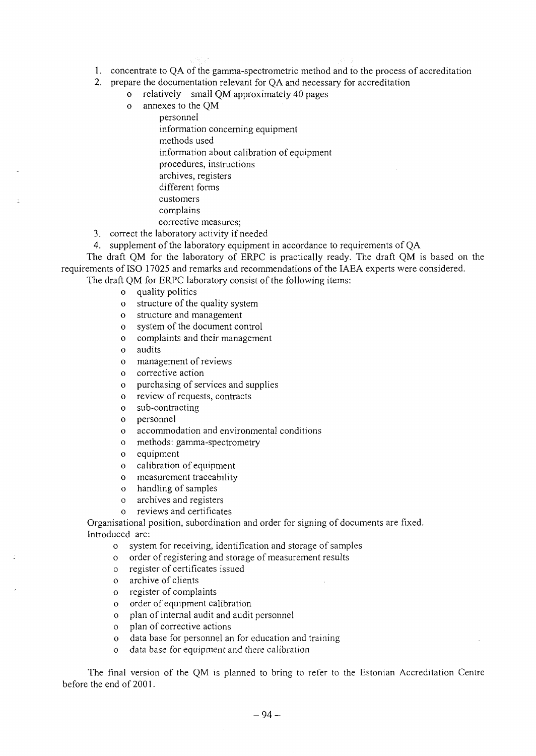- 1. concentrate to QA of the gamma-spectrometric method and to the process of accreditation
- 2. prepare the documentation relevant for QA and necessary for accreditation
	- o relatively small QM approximately 40 pages

o annexes to the QM personnel information concerning equipment methods used information about calibration of equipment procedures, instructions archives, registers different forms customers complains corrective measures;

3. correct the laboratory activity if needed

4. supplement of the laboratory equipment in accordance to requirements of QA

The draft QM for the laboratory of ERPC is practically ready. The draft QM is based on the requirements of ISO 17025 and remarks and recommendations of the IAEA experts were considered.

The draft QM for ERPC laboratory consist of the following items:

o quality politics

- o structure of the quality system
- o structure and management
- o system of the document control
- o complaints and their management
- o audits
- o management of reviews
- o corrective action
- o purchasing of services and supplies
- o review of requests, contracts
- o sub-contracting
- o personnel
- o accommodation and environmental conditions
- o methods: gamma-spectrometry
- o equipment
- o calibration of equipment
- o measurement traceability
- o handling of samples
- o archives and registers
- o reviews and certificates

Organisational position, subordination and order for signing of documents are fixed. Introduced are:

- o system for receiving, identification and storage of samples
- o order of registering and storage of measurement results
- o register of certificates issued
- o archive of clients
- o register of complaints
- o order of equipment calibration
- o plan of internal audit and audit personnel
- o plan of corrective actions
- o data base for personnel an for education and training
- o data base for equipment and there calibration

The final version of the QM is planned to bring to refer to the Estonian Accreditation Centre before the end of 2001.